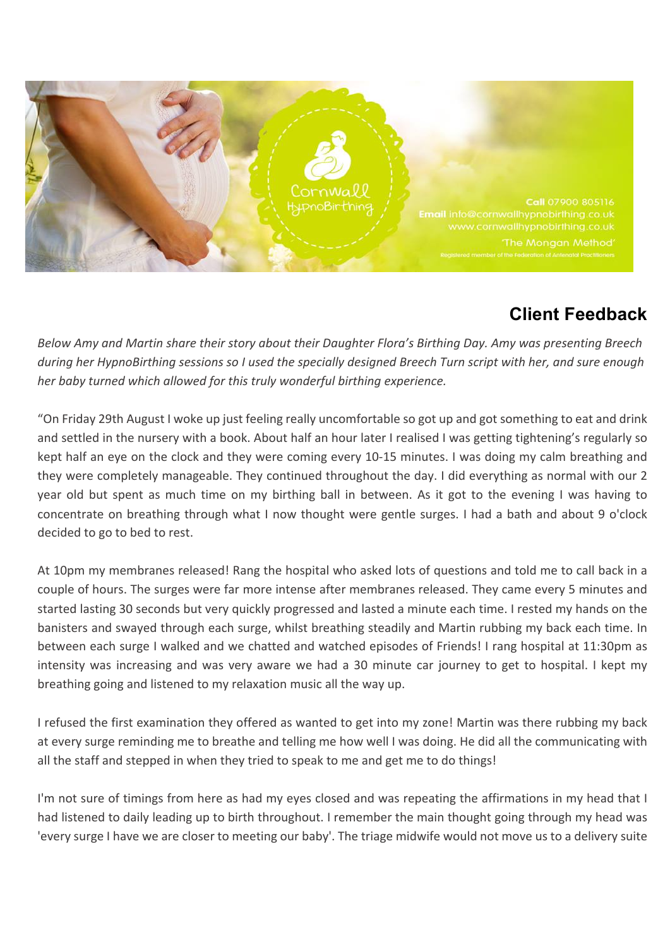

## **Client Feedback**

*Below* Amy and Martin share their story about their Daughter Flora's Birthing Day. Amy was presenting Breech *during her HypnoBirthing sessions so I used the specially designed Breech Turn script with her, and sure enough her* baby turned which allowed for this truly wonderful birthing experience.

"On Friday 29th August I woke up just feeling really uncomfortable so got up and got something to eat and drink and settled in the nursery with a book. About half an hour later I realised I was getting tightening's regularly so kept half an eye on the clock and they were coming every 10-15 minutes. I was doing my calm breathing and they were completely manageable. They continued throughout the day. I did everything as normal with our 2 year old but spent as much time on my birthing ball in between. As it got to the evening I was having to concentrate on breathing through what I now thought were gentle surges. I had a bath and about 9 o'clock decided to go to bed to rest.

At 10pm my membranes released! Rang the hospital who asked lots of questions and told me to call back in a couple of hours. The surges were far more intense after membranes released. They came every 5 minutes and started lasting 30 seconds but very quickly progressed and lasted a minute each time. I rested my hands on the banisters and swayed through each surge, whilst breathing steadily and Martin rubbing my back each time. In between each surge I walked and we chatted and watched episodes of Friends! I rang hospital at 11:30pm as intensity was increasing and was very aware we had a 30 minute car journey to get to hospital. I kept my breathing going and listened to my relaxation music all the way up.

I refused the first examination they offered as wanted to get into my zone! Martin was there rubbing my back at every surge reminding me to breathe and telling me how well I was doing. He did all the communicating with all the staff and stepped in when they tried to speak to me and get me to do things!

I'm not sure of timings from here as had my eyes closed and was repeating the affirmations in my head that I had listened to daily leading up to birth throughout. I remember the main thought going through my head was 'every surge I have we are closer to meeting our baby'. The triage midwife would not move us to a delivery suite